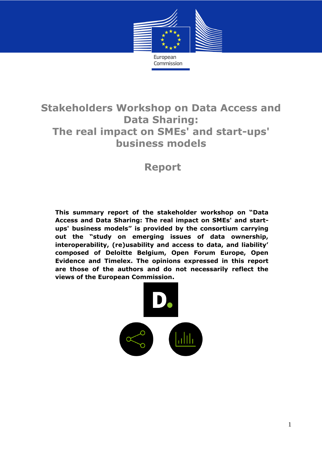

# **Stakeholders Workshop on Data Access and Data Sharing: The real impact on SMEs' and start-ups' business models**

# **Report**

**This summary report of the stakeholder workshop on "Data Access and Data Sharing: The real impact on SMEs' and startups' business models" is provided by the consortium carrying out the "study on emerging issues of data ownership, interoperability, (re)usability and access to data, and liability' composed of Deloitte Belgium, Open Forum Europe, Open Evidence and Timelex. The opinions expressed in this report are those of the authors and do not necessarily reflect the views of the European Commission.** 

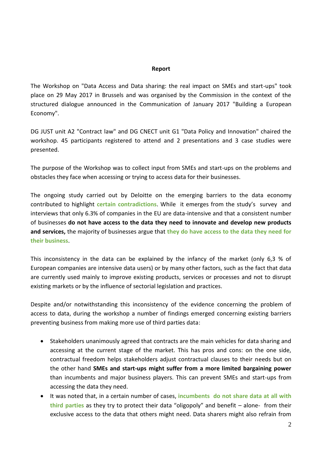#### **Report**

The Workshop on "Data Access and Data sharing: the real impact on SMEs and start-ups" took place on 29 May 2017 in Brussels and was organised by the Commission in the context of the structured dialogue announced in the Communication of January 2017 "Building a European Economy".

DG JUST unit A2 "Contract law" and DG CNECT unit G1 "Data Policy and Innovation" chaired the workshop. 45 participants registered to attend and 2 presentations and 3 case studies were presented.

The purpose of the Workshop was to collect input from SMEs and start-ups on the problems and obstacles they face when accessing or trying to access data for their businesses.

The ongoing study carried out by Deloitte on the emerging barriers to the data economy contributed to highlight **certain contradictions**. While it emerges from the study's survey and interviews that only 6.3% of companies in the EU are data-intensive and that a consistent number of businesses **do not have access to the data they need to innovate and develop new products and services,** the majority of businesses argue that **they do have access to the data they need for their business**.

This inconsistency in the data can be explained by the infancy of the market (only 6,3 % of European companies are intensive data users) or by many other factors, such as the fact that data are currently used mainly to improve existing products, services or processes and not to disrupt existing markets or by the influence of sectorial legislation and practices.

Despite and/or notwithstanding this inconsistency of the evidence concerning the problem of access to data, during the workshop a number of findings emerged concerning existing barriers preventing business from making more use of third parties data:

- Stakeholders unanimously agreed that contracts are the main vehicles for data sharing and accessing at the current stage of the market. This has pros and cons: on the one side, contractual freedom helps stakeholders adjust contractual clauses to their needs but on the other hand **SMEs and start-ups might suffer from a more limited bargaining power** than incumbents and major business players. This can prevent SMEs and start-ups from accessing the data they need.
- It was noted that, in a certain number of cases, **incumbents do not share data at all with third parties** as they try to protect their data "oligopoly" and benefit – alone- from their exclusive access to the data that others might need. Data sharers might also refrain from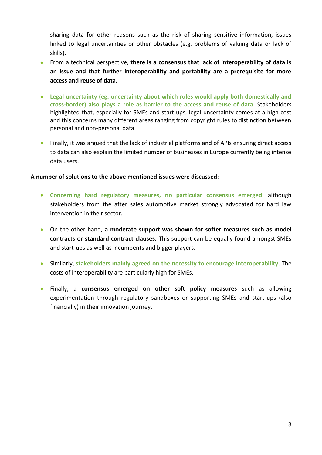sharing data for other reasons such as the risk of sharing sensitive information, issues linked to legal uncertainties or other obstacles (e.g. problems of valuing data or lack of skills).

- From a technical perspective, **there is a consensus that lack of interoperability of data is an issue and that further interoperability and portability are a prerequisite for more access and reuse of data.**
- **Legal uncertainty (eg. uncertainty about which rules would apply both domestically and cross-border) also plays a role as barrier to the access and reuse of data.** Stakeholders highlighted that, especially for SMEs and start-ups, legal uncertainty comes at a high cost and this concerns many different areas ranging from copyright rules to distinction between personal and non-personal data.
- Finally, it was argued that the lack of industrial platforms and of APIs ensuring direct access to data can also explain the limited number of businesses in Europe currently being intense data users.

### **A number of solutions to the above mentioned issues were discussed**:

- **Concerning hard regulatory measures, no particular consensus emerged**, although stakeholders from the after sales automotive market strongly advocated for hard law intervention in their sector.
- On the other hand, **a moderate support was shown for softer measures such as model contracts or standard contract clauses.** This support can be equally found amongst SMEs and start-ups as well as incumbents and bigger players.
- Similarly, **stakeholders mainly agreed on the necessity to encourage interoperability**. The costs of interoperability are particularly high for SMEs.
- Finally, a **consensus emerged on other soft policy measures** such as allowing experimentation through regulatory sandboxes or supporting SMEs and start-ups (also financially) in their innovation journey.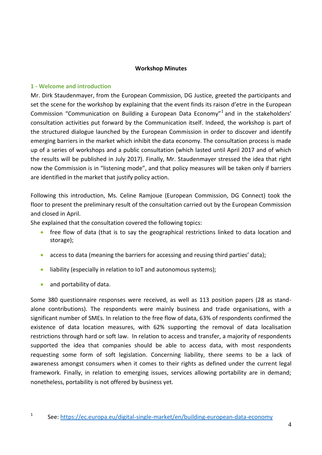#### **Workshop Minutes**

#### **1 - Welcome and introduction**

Mr. Dirk Staudenmayer, from the European Commission, DG Justice, greeted the participants and set the scene for the workshop by explaining that the event finds its raison d'etre in the European Commission "Communication on Building a European Data Economy"<sup>1</sup> and in the stakeholders' consultation activities put forward by the Communication itself. Indeed, the workshop is part of the structured dialogue launched by the European Commission in order to discover and identify emerging barriers in the market which inhibit the data economy. The consultation process is made up of a series of workshops and a public consultation (which lasted until April 2017 and of which the results will be published in July 2017). Finally, Mr. Staudenmayer stressed the idea that right now the Commission is in "listening mode", and that policy measures will be taken only if barriers are identified in the market that justify policy action.

Following this introduction, Ms. Celine Ramjoue (European Commission, DG Connect) took the floor to present the preliminary result of the consultation carried out by the European Commission and closed in April.

She explained that the consultation covered the following topics:

- free flow of data (that is to say the geographical restrictions linked to data location and storage);
- **•** access to data (meaning the barriers for accessing and reusing third parties' data);
- liability (especially in relation to IoT and autonomous systems);
- and portability of data.

Some 380 questionnaire responses were received, as well as 113 position papers (28 as standalone contributions). The respondents were mainly business and trade organisations, with a significant number of SMEs. In relation to the free flow of data, 63% of respondents confirmed the existence of data location measures, with 62% supporting the removal of data localisation restrictions through hard or soft law. In relation to access and transfer, a majority of respondents supported the idea that companies should be able to access data, with most respondents requesting some form of soft legislation. Concerning liability, there seems to be a lack of awareness amongst consumers when it comes to their rights as defined under the current legal framework. Finally, in relation to emerging issues, services allowing portability are in demand; nonetheless, portability is not offered by business yet.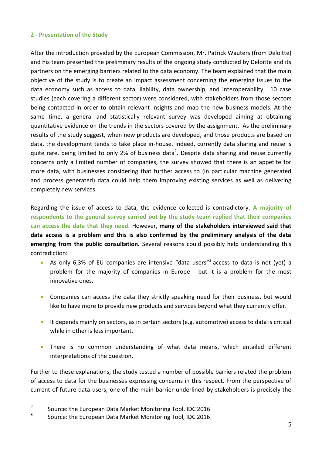### **2 - Presentation of the Study**

After the introduction provided by the European Commission, Mr. Patrick Wauters (from Deloitte) and his team presented the preliminary results of the ongoing study conducted by Deloitte and its partners on the emerging barriers related to the data economy. The team explained that the main objective of the study is to create an impact assessment concerning the emerging issues to the data economy such as access to data, liability, data ownership, and interoperability. 10 case studies (each covering a different sector) were considered, with stakeholders from those sectors being contacted in order to obtain relevant insights and map the new business models. At the same time, a general and statistically relevant survey was developed aiming at obtaining quantitative evidence on the trends in the sectors covered by the assignment. As the preliminary results of the study suggest, when new products are developed, and those products are based on data, the development tends to take place in-house. Indeed, currently data sharing and reuse is quite rare, being limited to only 2% of business data<sup>2</sup>. Despite data sharing and reuse currently concerns only a limited number of companies, the survey showed that there is an appetite for more data, with businesses considering that further access to (in particular machine generated and process generated) data could help them improving existing services as well as delivering completely new services.

Regarding the issue of access to data, the evidence collected is contradictory. **A majority of respondents to the general survey carried out by the study team replied that their companies can access the data that they need.** However, **many of the stakeholders interviewed said that data access is a problem and this is also confirmed by the preliminary analysis of the data emerging from the public consultation.** Several reasons could possibly help understanding this contradiction:

- As only 6,3% of EU companies are intensive "data users"<sup>3</sup> access to data is not (yet) a problem for the majority of companies in Europe - but it is a problem for the most innovative ones.
- Companies can access the data they strictly speaking need for their business, but would like to have more to provide new products and services beyond what they currently offer.
- It depends mainly on sectors, as in certain sectors (e.g. automotive) access to data is critical while in other is less important.
- There is no common understanding of what data means, which entailed different interpretations of the question.

Further to these explanations, the study tested a number of possible barriers related the problem of access to data for the businesses expressing concerns in this respect. From the perspective of current of future data users, one of the main barrier underlined by stakeholders is precisely the

- 2 Source: the European Data Market Monitoring Tool, IDC 2016
- 3 Source: the European Data Market Monitoring Tool, IDC 2016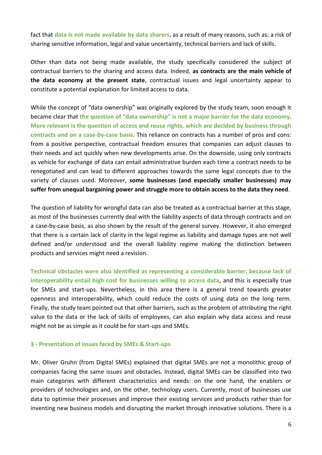fact that **data is not made available by data sharers**, as a result of many reasons, such as: a risk of sharing sensitive information, legal and value uncertainty, technical barriers and lack of skills.

Other than data not being made available, the study specifically considered the subject of contractual barriers to the sharing and access data. Indeed, **as contracts are the main vehicle of the data economy at the present state**, contractual issues and legal uncertainty appear to constitute a potential explanation for limited access to data.

While the concept of "data ownership" was originally explored by the study team, soon enough it became clear that **the question of "data ownership" is not a major barrier for the data economy**. **More relevant is the question of access and reuse rights, which are decided by business through contracts and on a case-by-case basis.** This reliance on contracts has a number of pros and cons: from a positive perspective, contractual freedom ensures that companies can adjust clauses to their needs and act quickly when new developments arise. On the downside, using only contracts as vehicle for exchange of data can entail administrative burden each time a contract needs to be renegotiated and can lead to different approaches towards the same legal concepts due to the variety of clauses used. Moreover, **some businesses (and especially smaller businesses) may suffer from unequal bargaining power and struggle more to obtain access to the data they need**.

The question of liability for wrongful data can also be treated as a contractual barrier at this stage, as most of the businesses currently deal with the liability aspects of data through contracts and on a case-by-case basis, as also shown by the result of the general survey. However, it also emerged that there is a certain lack of clarity in the legal regime as liability and damage types are not well defined and/or understood and the overall liability regime making the distinction between products and services might need a revision.

**Technical obstacles were also identified as representing a considerable barrier, because lack of interoperability entail high cost for businesses willing to access data**, and this is especially true for SMEs and start-ups. Nevertheless, in this area there is a general trend towards greater openness and interoperability, which could reduce the costs of using data on the long term. Finally, the study team pointed out that other barriers, such as the problem of attributing the right value to the data or the lack of skills of employees, can also explain why data access and reuse might not be as simple as it could be for start-ups and SMEs.

#### **3 - Presentation of issues faced by SMEs & Start-ups**

Mr. Oliver Gruhn (from Digital SMEs) explained that digital SMEs are not a monolithic group of companies facing the same issues and obstacles. Instead, digital SMEs can be classified into two main categories with different characteristics and needs: on the one hand, the enablers or providers of technologies and, on the other, technology users. Currently, most of businesses use data to optimise their processes and improve their existing services and products rather than for inventing new business models and disrupting the market through innovative solutions. There is a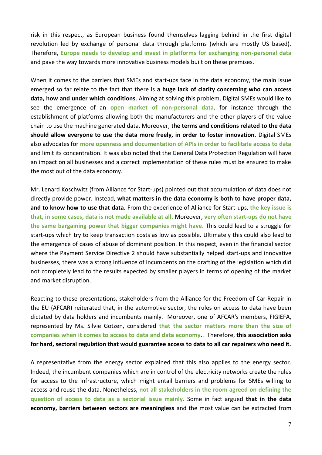risk in this respect, as European business found themselves lagging behind in the first digital revolution led by exchange of personal data through platforms (which are mostly US based). Therefore, **Europe needs to develop and invest in platforms for exchanging non-personal data** and pave the way towards more innovative business models built on these premises.

When it comes to the barriers that SMEs and start-ups face in the data economy, the main issue emerged so far relate to the fact that there is **a huge lack of clarity concerning who can access data, how and under which conditions**. Aiming at solving this problem, Digital SMEs would like to see the emergence of an **open market of non-personal data,** for instance through the establishment of platforms allowing both the manufacturers and the other players of the value chain to use the machine generated data. Moreover, **the terms and conditions related to the data should allow everyone to use the data more freely, in order to foster innovation.** Digital SMEs also advocates for **more openness and documentation of APIs in order to facilitate access to data** and limit its concentration. It was also noted that the General Data Protection Regulation will have an impact on all businesses and a correct implementation of these rules must be ensured to make the most out of the data economy.

Mr. Lenard Koschwitz (from Alliance for Start-ups) pointed out that accumulation of data does not directly provide power. Instead, **what matters in the data economy is both to have proper data, and to know how to use that data.** From the experience of Alliance for Start-ups, **the key issue is that, in some cases, data is not made available at all.** Moreover, **very often start-ups do not have the same bargaining power that bigger companies might have.** This could lead to a struggle for start-ups which try to keep transaction costs as low as possible. Ultimately this could also lead to the emergence of cases of abuse of dominant position. In this respect, even in the financial sector where the Payment Service Directive 2 should have substantially helped start-ups and innovative businesses, there was a strong influence of incumbents on the drafting of the legislation which did not completely lead to the results expected by smaller players in terms of opening of the market and market disruption.

Reacting to these presentations, stakeholders from the Alliance for the Freedom of Car Repair in the EU (AFCAR) reiterated that, in the automotive sector, the rules on access to data have been dictated by data holders and incumbents mainly. Moreover, one of AFCAR's members, FIGIEFA, represented by Ms. Silvie Gotzen, considered **that the sector matters more than the size of companies when it comes to access to data and data economy**.. Therefore, **this association asks for hard, sectoral regulation that would guarantee access to data to all car repairers who need it.**

A representative from the energy sector explained that this also applies to the energy sector. Indeed, the incumbent companies which are in control of the electricity networks create the rules for access to the infrastructure, which might entail barriers and problems for SMEs willing to access and reuse the data. Nonetheless, **not all stakeholders in the room agreed on defining the question of access to data as a sectorial issue mainly**. Some in fact argued **that in the data economy, barriers between sectors are meaningless** and the most value can be extracted from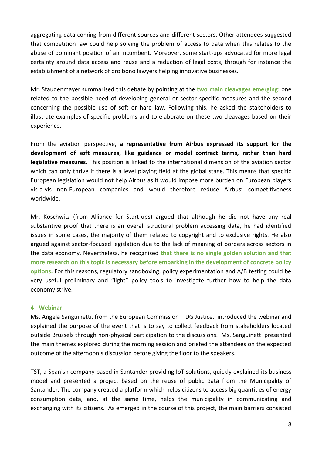aggregating data coming from different sources and different sectors. Other attendees suggested that competition law could help solving the problem of access to data when this relates to the abuse of dominant position of an incumbent. Moreover, some start-ups advocated for more legal certainty around data access and reuse and a reduction of legal costs, through for instance the establishment of a network of pro bono lawyers helping innovative businesses.

Mr. Staudenmayer summarised this debate by pointing at the **two main cleavages emerging**: one related to the possible need of developing general or sector specific measures and the second concerning the possible use of soft or hard law. Following this, he asked the stakeholders to illustrate examples of specific problems and to elaborate on these two cleavages based on their experience.

From the aviation perspective, **a representative from Airbus expressed its support for the development of soft measures, like guidance or model contract terms, rather than hard legislative measures**. This position is linked to the international dimension of the aviation sector which can only thrive if there is a level playing field at the global stage. This means that specific European legislation would not help Airbus as it would impose more burden on European players vis-a-vis non-European companies and would therefore reduce Airbus' competitiveness worldwide.

Mr. Koschwitz (from Alliance for Start-ups) argued that although he did not have any real substantive proof that there is an overall structural problem accessing data, he had identified issues in some cases, the majority of them related to copyright and to exclusive rights. He also argued against sector-focused legislation due to the lack of meaning of borders across sectors in the data economy. Nevertheless, he recognised **that there is no single golden solution and that more research on this topic is necessary before embarking in the development of concrete policy options.** For this reasons, regulatory sandboxing, policy experimentation and A/B testing could be very useful preliminary and "light" policy tools to investigate further how to help the data economy strive.

#### **4 - Webinar**

Ms. Angela Sanguinetti, from the European Commission – DG Justice, introduced the webinar and explained the purpose of the event that is to say to collect feedback from stakeholders located outside Brussels through non-physical participation to the discussions. Ms. Sanguinetti presented the main themes explored during the morning session and briefed the attendees on the expected outcome of the afternoon's discussion before giving the floor to the speakers.

TST, a Spanish company based in Santander providing IoT solutions, quickly explained its business model and presented a project based on the reuse of public data from the Municipality of Santander. The company created a platform which helps citizens to access big quantities of energy consumption data, and, at the same time, helps the municipality in communicating and exchanging with its citizens. As emerged in the course of this project, the main barriers consisted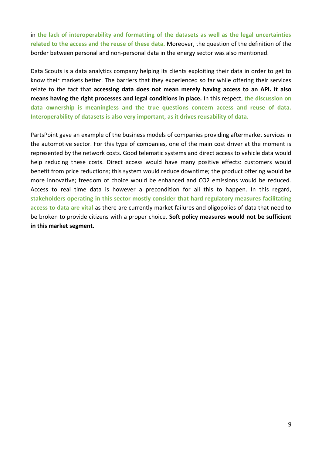in **the lack of interoperability and formatting of the datasets as well as the legal uncertainties related to the access and the reuse of these data.** Moreover, the question of the definition of the border between personal and non-personal data in the energy sector was also mentioned.

Data Scouts is a data analytics company helping its clients exploiting their data in order to get to know their markets better. The barriers that they experienced so far while offering their services relate to the fact that **accessing data does not mean merely having access to an API. It also means having the right processes and legal conditions in place.** In this respect, **the discussion on data ownership is meaningless and the true questions concern access and reuse of data. Interoperability of datasets is also very important, as it drives reusability of data.** 

PartsPoint gave an example of the business models of companies providing aftermarket services in the automotive sector. For this type of companies, one of the main cost driver at the moment is represented by the network costs. Good telematic systems and direct access to vehicle data would help reducing these costs. Direct access would have many positive effects: customers would benefit from price reductions; this system would reduce downtime; the product offering would be more innovative; freedom of choice would be enhanced and CO2 emissions would be reduced. Access to real time data is however a precondition for all this to happen. In this regard, **stakeholders operating in this sector mostly consider that hard regulatory measures facilitating access to data are vital** as there are currently market failures and oligopolies of data that need to be broken to provide citizens with a proper choice. **Soft policy measures would not be sufficient in this market segment.**